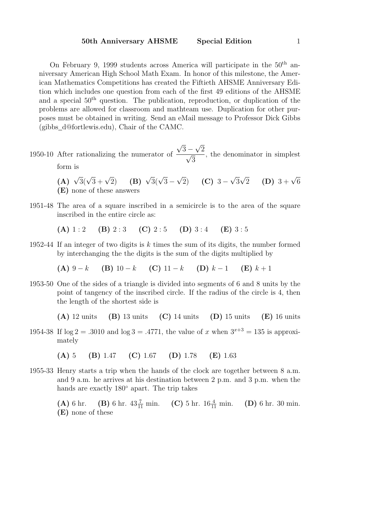On February 9, 1999 students across America will participate in the  $50<sup>th</sup>$  anniversary American High School Math Exam. In honor of this milestone, the American Mathematics Competitions has created the Fiftieth AHSME Anniversary Edition which includes one question from each of the first 49 editions of the AHSME and a special  $50<sup>th</sup>$  question. The publication, reproduction, or duplication of the problems are allowed for classroom and mathteam use. Duplication for other purposes must be obtained in writing. Send an eMail message to Professor Dick Gibbs (gibbs d@fortlewis.edu), Chair of the CAMC.

- 1950-10 After rationalizing the numerator of  $\overline{3}$  –  $\frac{-\sqrt{2}}{2}$ 3 , the denominator in simplest form is
	- (A)  $\sqrt{3}(\sqrt{3} + \sqrt{3})$  $\sqrt{2}$ ) (B)  $\sqrt{3}(\sqrt{3} -$ √  $\overline{2}$ ) (C) 3 – √ 3  $\sqrt{2}$  (D) 3 +  $\sqrt{6}$ (E) none of these answers
- 1951-48 The area of a square inscribed in a semicircle is to the area of the square inscribed in the entire circle as:

(A)  $1:2$  (B)  $2:3$  (C)  $2:5$  (D)  $3:4$  (E)  $3:5$ 

1952-44 If an integer of two digits is  $k$  times the sum of its digits, the number formed by interchanging the the digits is the sum of the digits multiplied by

(A)  $9 - k$  (B)  $10 - k$  (C)  $11 - k$  (D)  $k - 1$  (E)  $k + 1$ 

1953-50 One of the sides of a triangle is divided into segments of 6 and 8 units by the point of tangency of the inscribed circle. If the radius of the circle is 4, then the length of the shortest side is

(A) 12 units (B) 13 units (C) 14 units (D) 15 units (E) 16 units

1954-38 If  $log 2 = .3010$  and  $log 3 = .4771$ , the value of x when  $3^{x+3} = 135$  is approximately

(A) 5 (B) 1.47 (C) 1.67 (D) 1.78 (E) 1.63

1955-33 Henry starts a trip when the hands of the clock are together between 8 a.m. and 9 a.m. he arrives at his destination between 2 p.m. and 3 p.m. when the hands are exactly 180◦ apart. The trip takes

> (A) 6 hr. (B) 6 hr.  $43\frac{7}{11}$  min. (C) 5 hr.  $16\frac{4}{11}$  $(D)$  6 hr. 30 min. (E) none of these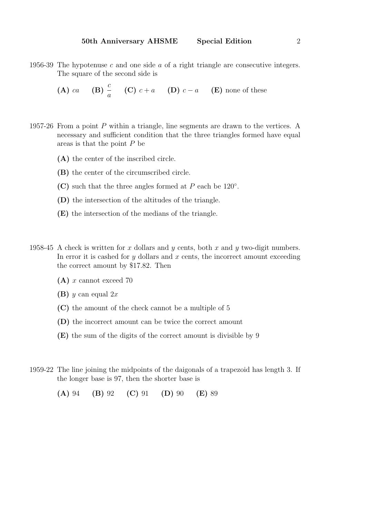1956-39 The hypotenuse c and one side a of a right triangle are consecutive integers. The square of the second side is

**(A)** 
$$
ca
$$
 **(B)**  $\frac{c}{a}$  **(C)**  $c + a$  **(D)**  $c - a$  **(E)** none of these

- 1957-26 From a point P within a triangle, line segments are drawn to the vertices. A necessary and sufficient condition that the three triangles formed have equal areas is that the point P be
	- (A) the center of the inscribed circle.
	- (B) the center of the circumscribed circle.
	- (C) such that the three angles formed at  $P$  each be 120 $^{\circ}$ .
	- (D) the intersection of the altitudes of the triangle.
	- (E) the intersection of the medians of the triangle.
- 1958-45 A check is written for x dollars and y cents, both x and y two-digit numbers. In error it is cashed for y dollars and  $x$  cents, the incorrect amount exceeding the correct amount by \$17.82. Then
	- (A) x cannot exceed 70
	- (B)  $y$  can equal  $2x$
	- (C) the amount of the check cannot be a multiple of 5
	- (D) the incorrect amount can be twice the correct amount
	- (E) the sum of the digits of the correct amount is divisible by 9
- 1959-22 The line joining the midpoints of the daigonals of a trapezoid has length 3. If the longer base is 97, then the shorter base is

(A) 94 (B) 92 (C) 91 (D) 90 (E) 89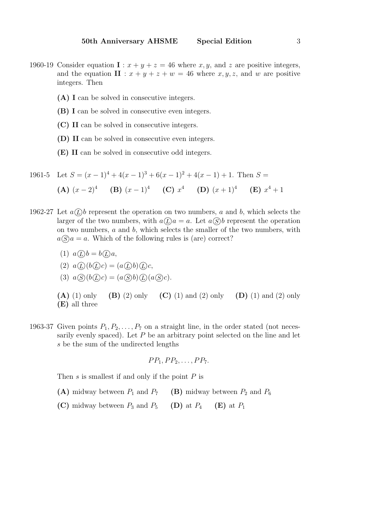- 1960-19 Consider equation  $\mathbf{I}: x + y + z = 46$  where x, y, and z are positive integers, and the equation  $\mathbf{II}: x+y+z+w=46$  where  $x, y, z$ , and w are positive integers. Then
	- (A) I can be solved in consecutive integers.
	- (B) I can be solved in consecutive even integers.
	- (C) II can be solved in consecutive integers.
	- (D) II can be solved in consecutive even integers.
	- (E) II can be solved in consecutive odd integers.

1961-5 Let 
$$
S = (x - 1)^4 + 4(x - 1)^3 + 6(x - 1)^2 + 4(x - 1) + 1
$$
. Then  $S =$   
\n**(A)**  $(x - 2)^4$  **(B)**  $(x - 1)^4$  **(C)**  $x^4$  **(D)**  $(x + 1)^4$  **(E)**  $x^4 + 1$ 

- 1962-27 Let  $a(\overline{L})b$  represent the operation on two numbers, a and b, which selects the larger of the two numbers, with  $a(\underline{D})a = a$ . Let  $a(\underline{S})b$  represent the operation on two numbers,  $a$  and  $b$ , which selects the smaller of the two numbers, with  $a(\widehat{S})a = a$ . Which of the following rules is (are) correct?
	- (1)  $a \bigcirc b = b \bigcirc a$ ,
	- (2)  $a(\underline{D})b(\underline{D})c$ ,
	- (3)  $a\textcircled{S}(b\textcircled{L})c = (a\textcircled{S}b)\textcircled{L}(a\textcircled{S}c).$
	- (A) (1) only (B) (2) only (C) (1) and (2) only (D) (1) and (2) only (E) all three
- 1963-37 Given points  $P_1, P_2, \ldots, P_7$  on a straight line, in the order stated (not necessarily evenly spaced). Let  $P$  be an arbitrary point selected on the line and let s be the sum of the undirected lengths

$$
PP_1, PP_2, \ldots, PP_7.
$$

Then  $s$  is smallest if and only if the point  $P$  is

- (A) midway between  $P_1$  and  $P_7$  (B) midway between  $P_2$  and  $P_6$
- (C) midway between  $P_3$  and  $P_5$  (D) at  $P_4$  (E) at  $P_1$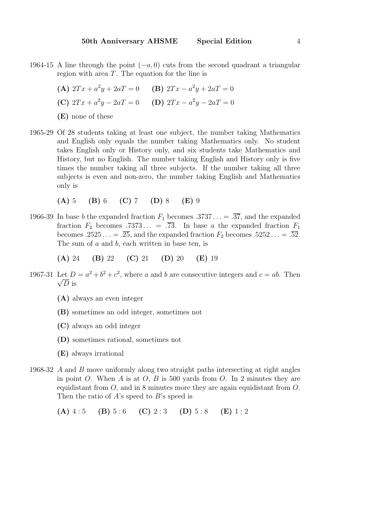- 1964-15 A line through the point  $(-a, 0)$  cuts from the second quadrant a triangular region with area  $T$ . The equation for the line is
	- (A)  $2Tx + a^2y + 2aT = 0$  (B)  $2Tx a^2y + 2aT = 0$ (C)  $2Tx + a^2y - 2aT = 0$  (D)  $2Tx - a^2y - 2aT = 0$ (E) none of these
- 1965-29 Of 28 students taking at least one subject, the number taking Mathematics and English only equals the number taking Mathematics only. No student takes English only or History only, and six students take Mathematics and History, but no English. The number taking English and History only is five times the number taking all three subjects. If the number taking all three subjects is even and non-zero, the number taking English and Mathematics only is
	- (A) 5 (B) 6 (C) 7 (D) 8 (E) 9
- 1966-39 In base b the expanded fraction  $F_1$  becomes .3737... = .37, and the expanded fraction  $F_2$  becomes .7373... = .73. In base a the expanded fraction  $F_1$ becomes .2525... =  $\overline{.25}$ , and the expanded fraction  $F_2$  becomes  $.5252... = \overline{.52}$ . The sum of a and b, each written in base ten, is

$$
(A) 24 (B) 22 (C) 21 (D) 20 (E) 19
$$

- 1967-31 Let  $D = a^2 + b^2 + c^2$ , where a and b are consecutive integers and  $c = ab$ . Then  $\sqrt{D}$  is
	- (A) always an even integer
	- (B) sometimes an odd integer, sometimes not
	- (C) always an odd integer
	- (D) sometimes rational, sometimes not
	- (E) always irrational
- 1968-32 A and B move uniformly along two straight paths intersecting at right angles in point O. When A is at  $O$ , B is 500 yards from  $O$ . In 2 minutes they are equidistant from  $\ddot{\theta}$ , and in 8 minutes more they are again equidistant from  $\ddot{\theta}$ . Then the ratio of A's speed to B's speed is

(A)  $4:5$  (B)  $5:6$  (C)  $2:3$  (D)  $5:8$  (E)  $1:2$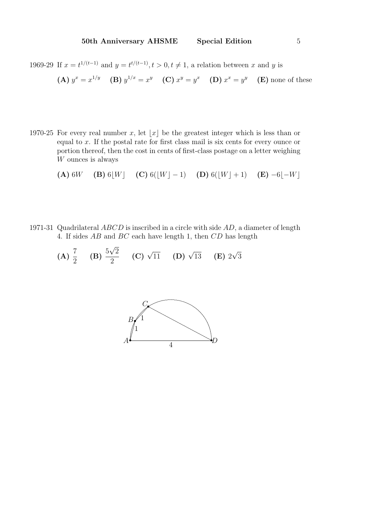1969-29 If  $x = t^{1/(t-1)}$  and  $y = t^{t/(t-1)}$ ,  $t > 0$ ,  $t \neq 1$ , a relation between x and y is

**(A)** 
$$
y^x = x^{1/y}
$$
 **(B)**  $y^{1/x} = x^y$  **(C)**  $x^y = y^x$  **(D)**  $x^x = y^y$  **(E)** none of these

1970-25 For every real number x, let  $|x|$  be the greatest integer which is less than or equal to  $x$ . If the postal rate for first class mail is six cents for every ounce or portion thereof, then the cost in cents of first-class postage on a letter weighing W ounces is always

(A) 6W (B) 6bWc (C) 6(bWc − 1) (D) 6(bWc + 1) (E) −6b−Wc

1971-31 Quadrilateral ABCD is inscribed in a circle with side AD, a diameter of length 4. If sides AB and BC each have length 1, then CD has length

(A) 
$$
\frac{7}{2}
$$
 (B)  $\frac{5\sqrt{2}}{2}$  (C)  $\sqrt{11}$  (D)  $\sqrt{13}$  (E)  $2\sqrt{3}$ 

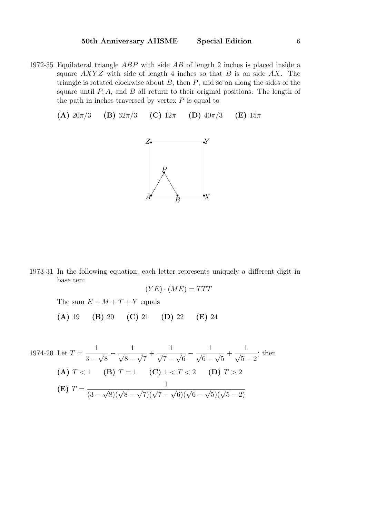- 1972-35 Equilateral triangle ABP with side AB of length 2 inches is placed inside a square  $AXYZ$  with side of length 4 inches so that B is on side  $AX$ . The triangle is rotated clockwise about  $B$ , then  $P$ , and so on along the sides of the square until  $P, A$ , and  $B$  all return to their original positions. The length of the path in inches traversed by vertex  $P$  is equal to
	- (A)  $20\pi/3$  (B)  $32\pi/3$  (C)  $12\pi$  (D)  $40\pi/3$  (E)  $15\pi$



1973-31 In the following equation, each letter represents uniquely a different digit in base ten:

$$
(YE)\cdot (ME) = TTT
$$

The sum  $E + M + T + Y$  equals

(A) 19 (B) 20 (C) 21 (D) 22 (E) 24

1974-20 Let 
$$
T = \frac{1}{3 - \sqrt{8}} - \frac{1}{\sqrt{8} - \sqrt{7}} + \frac{1}{\sqrt{7} - \sqrt{6}} - \frac{1}{\sqrt{6} - \sqrt{5}} + \frac{1}{\sqrt{5} - 2}
$$
; then  
\n**(A)**  $T < 1$  **(B)**  $T = 1$  **(C)**  $1 < T < 2$  **(D)**  $T > 2$   
\n**(E)**  $T = \frac{1}{(3 - \sqrt{8})(\sqrt{8} - \sqrt{7})(\sqrt{7} - \sqrt{6})(\sqrt{6} - \sqrt{5})(\sqrt{5} - 2)}$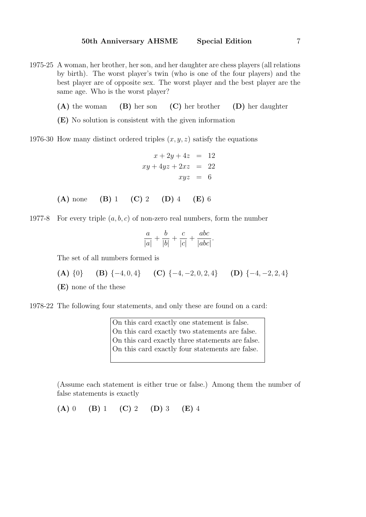- 1975-25 A woman, her brother, her son, and her daughter are chess players (all relations by birth). The worst player's twin (who is one of the four players) and the best player are of opposite sex. The worst player and the best player are the same age. Who is the worst player?
	- (A) the woman (B) her son (C) her brother (D) her daughter
	- (E) No solution is consistent with the given information
- 1976-30 How many distinct ordered triples  $(x, y, z)$  satisfy the equations

$$
x + 2y + 4z = 12
$$
  

$$
xy + 4yz + 2xz = 22
$$
  

$$
xyz = 6
$$

(A) none (B) 1 (C) 2 (D) 4 (E) 6

1977-8 For every triple  $(a, b, c)$  of non-zero real numbers, form the number

$$
\frac{a}{|a|} + \frac{b}{|b|} + \frac{c}{|c|} + \frac{abc}{|abc|}.
$$

The set of all numbers formed is

- (A)  $\{0\}$  (B)  $\{-4, 0, 4\}$  (C)  $\{-4, -2, 0, 2, 4\}$  (D)  $\{-4, -2, 2, 4\}$
- (E) none of the these

1978-22 The following four statements, and only these are found on a card:

On this card exactly one statement is false. On this card exactly two statements are false. On this card exactly three statements are false. On this card exactly four statements are false.

(Assume each statement is either true or false.) Among them the number of false statements is exactly

(A) 0 (B) 1 (C) 2 (D) 3 (E) 4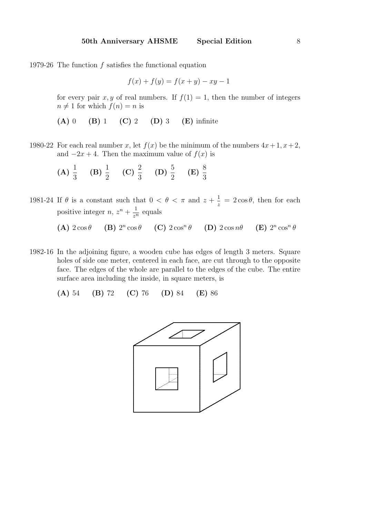1979-26 The function f satisfies the functional equation

$$
f(x) + f(y) = f(x + y) - xy - 1
$$

for every pair x, y of real numbers. If  $f(1) = 1$ , then the number of integers  $n \neq 1$  for which  $f(n) = n$  is

- (A) 0 (B) 1 (C) 2 (D) 3 (E) infinite
- 1980-22 For each real number x, let  $f(x)$  be the minimum of the numbers  $4x+1, x+2$ , and  $-2x + 4$ . Then the maximum value of  $f(x)$  is

(A) 
$$
\frac{1}{3}
$$
 (B)  $\frac{1}{2}$  (C)  $\frac{2}{3}$  (D)  $\frac{5}{2}$  (E)  $\frac{8}{3}$ 

1981-24 If  $\theta$  is a constant such that  $0 < \theta < \pi$  and  $z + \frac{1}{z}$  $\frac{1}{z} = 2\cos\theta$ , then for each positive integer  $n, z^n + \frac{1}{n}$  $rac{1}{z^n}$  equals

> (A)  $2\cos\theta$  (B)  $2^n\cos\theta$  (C)  $2\cos^n\theta$  (D)  $2\cos n\theta$  (E) 2  $n \cos^n \theta$

1982-16 In the adjoining figure, a wooden cube has edges of length 3 meters. Square holes of side one meter, centered in each face, are cut through to the opposite face. The edges of the whole are parallel to the edges of the cube. The entire surface area including the inside, in square meters, is

(A) 54 (B) 72 (C) 76 (D) 84 (E) 86

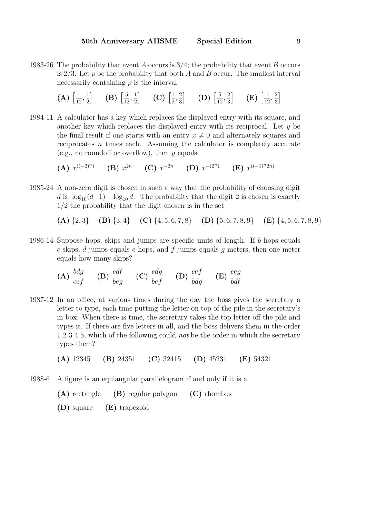1983-26 The probability that event A occurs is  $3/4$ ; the probability that event B occurs is  $2/3$ . Let p be the probability that both A and B occur. The smallest interval necessarily containing  $p$  is the interval

> $(A)$   $\left[\frac{1}{16}\right]$  $\frac{1}{12}, \frac{1}{2}$ 2  $\Big|$  (B)  $\Big[\frac{5}{15}\Big]$  $\frac{5}{12}, \frac{1}{2}$ 2  $\Big|$  (C)  $\Big[\frac{1}{2}\Big]$  $\frac{1}{2}, \frac{2}{3}$ 3  $\Big| \qquad$  (D)  $\Big[\frac{5}{15}\Big]$  $\frac{5}{12}, \frac{2}{3}$ 3  $\left| \right|$  (E)  $\left[ \frac{1}{16} \right]$  $\frac{1}{12}, \frac{2}{3}$ 3 i

1984-11 A calculator has a key which replaces the displayed entry with its square, and another key which replaces the displayed entry with its reciprocal. Let  $y$  be the final result if one starts with an entry  $x \neq 0$  and alternately squares and reciprocates n times each. Assuming the calculator is completely accurate (e.g., no roundoff or overflow), then  $y$  equals

(A)  $x^{((-2)^n)}$  (B)  $x^{2n}$  (C)  $x^{-2n}$  (D)  $x^{-(2^n)}$  (E)  $x^{((-1)^n2n)}$ 

1985-24 A non-zero digit is chosen in such a way that the probability of choosing digit d is  $\log_{10}(d+1)-\log_{10} d$ . The probability that the digit 2 is chosen is exactly 1/2 the probability that the digit chosen is in the set

(A)  $\{2, 3\}$  (B)  $\{3, 4\}$  (C)  $\{4, 5, 6, 7, 8\}$  (D)  $\{5, 6, 7, 8, 9\}$  (E)  $\{4, 5, 6, 7, 8, 9\}$ 

1986-14 Suppose hops, skips and jumps are specific units of length. If b hops equals c skips, d jumps equals e hops, and f jumps equals g meters, then one meter equals how many skips?

(A) 
$$
\frac{bdg}{cef}
$$
 (B)  $\frac{cdf}{beg}$  (C)  $\frac{cdg}{bef}$  (D)  $\frac{cef}{bdg}$  (E)  $\frac{ceg}{bdf}$ 

1987-12 In an office, at various times during the day the boss gives the secretary a letter to type, each time putting the letter on top of the pile in the secretary's in-box. When there is time, the secretary takes the top letter off the pile and types it. If there are five letters in all, and the boss delivers them in the order 1 2 3 4 5, which of the following could *not* be the order in which the secretary types them?

(A) 12345 (B) 24351 (C) 32415 (D) 45231 (E) 54321

1988-6 A figure is an equiangular parallelogram if and only if it is a

(A) rectangle (B) regular polygon (C) rhombus

(D) square (E) trapezoid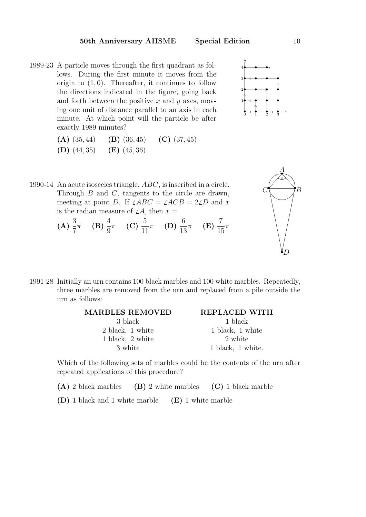1989-23 A particle moves through the first quadrant as follows. During the first minute it moves from the origin to  $(1,0)$ . Thereafter, it continues to follow the directions indicated in the figure, going back and forth between the positive x and y axes, moving one unit of distance parallel to an axis in each minute. At which point will the particle be after exactly 1989 minutes?



| $(A)$ $(35, 44)$ | $(B)$ (36, 45) | (C) $(37, 45)$ |
|------------------|----------------|----------------|
| $(D)$ $(44, 35)$ | $(E)$ (45, 36) |                |



- 1990-14 An acute isosceles triangle, ABC, is inscribed in a circle. Through  $B$  and  $C$ , tangents to the circle are drawn, meeting at point D. If  $\angle ABC = \angle ACB = 2\angle D$  and x is the radian measure of  $\angle A$ , then  $x =$ 
	- $(A) \frac{3}{7}$ 7  $\pi$  (B)  $\frac{4}{9}$ 9  $\pi$  (C)  $\frac{5}{15}$ 11  $\pi$  (D)  $\frac{6}{16}$ 13  $\pi$  (E)  $\frac{7}{11}$ 15  $\pi$
- 1991-28 Initially an urn contains 100 black marbles and 100 white marbles. Repeatedly, three marbles are removed from the urn and replaced from a pile outside the urn as follows:



Which of the following sets of marbles could be the contents of the urn after repeated applications of this procedure?

- (A) 2 black marbles (B) 2 white marbles (C) 1 black marble
- (D) 1 black and 1 white marble (E) 1 white marble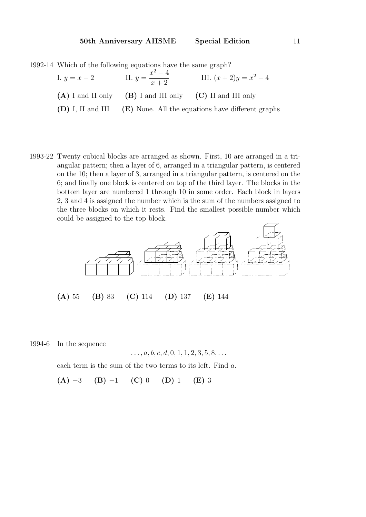1992-14 Which of the following equations have the same graph?

| I. $y = x - 2$ | II. $y = \frac{x^2 - 4}{x + 2}$                                | III. $(x+2)y = x^2 - 4$                                                 |
|----------------|----------------------------------------------------------------|-------------------------------------------------------------------------|
|                | $(A)$ I and II only $(B)$ I and III only $(C)$ II and III only |                                                                         |
|                |                                                                | $(D)$ I, II and III $(E)$ None. All the equations have different graphs |

1993-22 Twenty cubical blocks are arranged as shown. First, 10 are arranged in a triangular pattern; then a layer of 6, arranged in a triangular pattern, is centered on the 10; then a layer of 3, arranged in a triangular pattern, is centered on the 6; and finally one block is centered on top of the third layer. The blocks in the bottom layer are numbered 1 through 10 in some order. Each block in layers 2, 3 and 4 is assigned the number which is the sum of the numbers assigned to the three blocks on which it rests. Find the smallest possible number which could be assigned to the top block.



1994-6 In the sequence

$$
\ldots, a, b, c, d, 0, 1, 1, 2, 3, 5, 8, \ldots
$$

each term is the sum of the two terms to its left. Find a.

 $(A)$  −3 (B) −1 (C) 0 (D) 1 (E) 3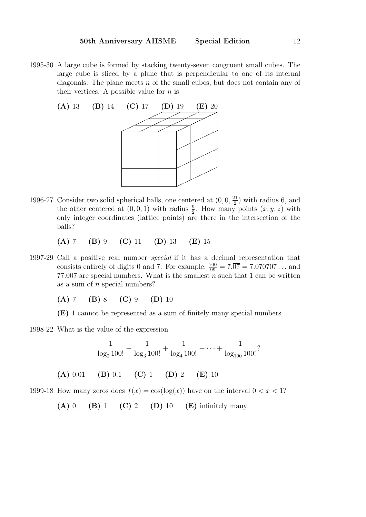1995-30 A large cube is formed by stacking twenty-seven congruent small cubes. The large cube is sliced by a plane that is perpendicular to one of its internal diagonals. The plane meets  $n$  of the small cubes, but does not contain any of their vertices. A possible value for  $n$  is



1996-27 Consider two solid spherical balls, one centered at  $(0,0,\frac{21}{2})$  $\frac{21}{2}$ ) with radius 6, and the other centered at  $(0,0,1)$  with radius  $\frac{9}{2}$ . How many points  $(x, y, z)$  with only integer coordinates (lattice points) are there in the intersection of the balls?

(A) 7 (B) 9 (C) 11 (D) 13 (E) 15

1997-29 Call a positive real number special if it has a decimal representation that consists entirely of digits 0 and 7. For example,  $\frac{700}{99} = 7.\overline{07} = 7.070707...$  and 77.007 are special numbers. What is the smallest  $n$  such that 1 can be written as a sum of  $n$  special numbers?

(A) 7 (B) 8 (C) 9 (D) 10

(E) 1 cannot be represented as a sum of finitely many special numbers

1998-22 What is the value of the expression

$$
\frac{1}{\log_2 100!} + \frac{1}{\log_3 100!} + \frac{1}{\log_4 100!} + \dots + \frac{1}{\log_{100} 100!}?
$$
  
(A) 0.01 (B) 0.1 (C) 1 (D) 2 (E) 10

1999-18 How many zeros does  $f(x) = \cos(\log(x))$  have on the interval  $0 < x < 1$ ?

(A) 0 (B) 1 (C) 2 (D) 10 (E) infinitely many